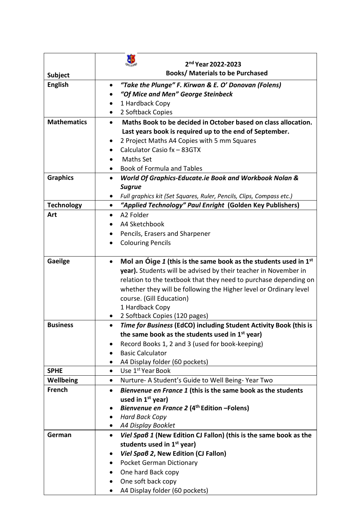| <b>Books/ Materials to be Purchased</b><br><b>Subject</b><br><b>English</b><br>"Take the Plunge" F. Kirwan & E. O' Donovan (Folens)<br>$\bullet$<br>"Of Mice and Men" George Steinbeck<br>1 Hardback Copy<br>2 Softback Copies<br><b>Mathematics</b><br>Maths Book to be decided in October based on class allocation.<br>$\bullet$<br>Last years book is required up to the end of September.<br>2 Project Maths A4 Copies with 5 mm Squares<br>Calculator Casio fx - 83GTX<br><b>Maths Set</b><br><b>Book of Formula and Tables</b><br><b>Graphics</b><br>World Of Graphics-Educate.ie Book and Workbook Nolan &<br>$\bullet$<br><b>Sugrue</b><br>Full graphics kit (Set Squares, Ruler, Pencils, Clips, Compass etc.)<br>"Applied Technology" Paul Enright (Golden Key Publishers)<br><b>Technology</b><br>$\bullet$<br>A2 Folder<br>Art<br>$\bullet$<br>A4 Sketchbook<br>Pencils, Erasers and Sharpener<br>$\bullet$<br><b>Colouring Pencils</b><br>$\bullet$<br>Gaeilge<br>Mol an Oige 1 (this is the same book as the students used in $1st$<br>$\bullet$<br>year). Students will be advised by their teacher in November in<br>relation to the textbook that they need to purchase depending on<br>whether they will be following the Higher level or Ordinary level<br>course. (Gill Education)<br>1 Hardback Copy<br>2 Softback Copies (120 pages)<br>Time for Business (EdCO) including Student Activity Book (this is<br><b>Business</b><br>the same book as the students used in 1 <sup>st</sup> year)<br>Record Books 1, 2 and 3 (used for book-keeping)<br><b>Basic Calculator</b><br>A4 Display folder (60 pockets)<br>Use 1st Year Book<br><b>SPHE</b><br>$\bullet$<br>Wellbeing<br>Nurture- A Student's Guide to Well Being-Year Two<br>$\bullet$<br>French<br>Bienvenue en France 1 (this is the same book as the students<br>$\bullet$<br>used in 1 <sup>st</sup> year)<br>Bienvenue en France 2 (4 <sup>th</sup> Edition -Folens)<br><b>Hard Back Copy</b><br>A4 Display Booklet<br>$\bullet$<br>Viel Spaß 1 (New Edition CJ Fallon) (this is the same book as the<br>German<br>$\bullet$ |                    |
|---------------------------------------------------------------------------------------------------------------------------------------------------------------------------------------------------------------------------------------------------------------------------------------------------------------------------------------------------------------------------------------------------------------------------------------------------------------------------------------------------------------------------------------------------------------------------------------------------------------------------------------------------------------------------------------------------------------------------------------------------------------------------------------------------------------------------------------------------------------------------------------------------------------------------------------------------------------------------------------------------------------------------------------------------------------------------------------------------------------------------------------------------------------------------------------------------------------------------------------------------------------------------------------------------------------------------------------------------------------------------------------------------------------------------------------------------------------------------------------------------------------------------------------------------------------------------------------------------------------------------------------------------------------------------------------------------------------------------------------------------------------------------------------------------------------------------------------------------------------------------------------------------------------------------------------------------------------------------------------------------------------------------------------------------------------------------------------------------------------|--------------------|
|                                                                                                                                                                                                                                                                                                                                                                                                                                                                                                                                                                                                                                                                                                                                                                                                                                                                                                                                                                                                                                                                                                                                                                                                                                                                                                                                                                                                                                                                                                                                                                                                                                                                                                                                                                                                                                                                                                                                                                                                                                                                                                               | 2nd Year 2022-2023 |
|                                                                                                                                                                                                                                                                                                                                                                                                                                                                                                                                                                                                                                                                                                                                                                                                                                                                                                                                                                                                                                                                                                                                                                                                                                                                                                                                                                                                                                                                                                                                                                                                                                                                                                                                                                                                                                                                                                                                                                                                                                                                                                               |                    |
|                                                                                                                                                                                                                                                                                                                                                                                                                                                                                                                                                                                                                                                                                                                                                                                                                                                                                                                                                                                                                                                                                                                                                                                                                                                                                                                                                                                                                                                                                                                                                                                                                                                                                                                                                                                                                                                                                                                                                                                                                                                                                                               |                    |
|                                                                                                                                                                                                                                                                                                                                                                                                                                                                                                                                                                                                                                                                                                                                                                                                                                                                                                                                                                                                                                                                                                                                                                                                                                                                                                                                                                                                                                                                                                                                                                                                                                                                                                                                                                                                                                                                                                                                                                                                                                                                                                               |                    |
|                                                                                                                                                                                                                                                                                                                                                                                                                                                                                                                                                                                                                                                                                                                                                                                                                                                                                                                                                                                                                                                                                                                                                                                                                                                                                                                                                                                                                                                                                                                                                                                                                                                                                                                                                                                                                                                                                                                                                                                                                                                                                                               |                    |
|                                                                                                                                                                                                                                                                                                                                                                                                                                                                                                                                                                                                                                                                                                                                                                                                                                                                                                                                                                                                                                                                                                                                                                                                                                                                                                                                                                                                                                                                                                                                                                                                                                                                                                                                                                                                                                                                                                                                                                                                                                                                                                               |                    |
|                                                                                                                                                                                                                                                                                                                                                                                                                                                                                                                                                                                                                                                                                                                                                                                                                                                                                                                                                                                                                                                                                                                                                                                                                                                                                                                                                                                                                                                                                                                                                                                                                                                                                                                                                                                                                                                                                                                                                                                                                                                                                                               |                    |
|                                                                                                                                                                                                                                                                                                                                                                                                                                                                                                                                                                                                                                                                                                                                                                                                                                                                                                                                                                                                                                                                                                                                                                                                                                                                                                                                                                                                                                                                                                                                                                                                                                                                                                                                                                                                                                                                                                                                                                                                                                                                                                               |                    |
|                                                                                                                                                                                                                                                                                                                                                                                                                                                                                                                                                                                                                                                                                                                                                                                                                                                                                                                                                                                                                                                                                                                                                                                                                                                                                                                                                                                                                                                                                                                                                                                                                                                                                                                                                                                                                                                                                                                                                                                                                                                                                                               |                    |
|                                                                                                                                                                                                                                                                                                                                                                                                                                                                                                                                                                                                                                                                                                                                                                                                                                                                                                                                                                                                                                                                                                                                                                                                                                                                                                                                                                                                                                                                                                                                                                                                                                                                                                                                                                                                                                                                                                                                                                                                                                                                                                               |                    |
|                                                                                                                                                                                                                                                                                                                                                                                                                                                                                                                                                                                                                                                                                                                                                                                                                                                                                                                                                                                                                                                                                                                                                                                                                                                                                                                                                                                                                                                                                                                                                                                                                                                                                                                                                                                                                                                                                                                                                                                                                                                                                                               |                    |
|                                                                                                                                                                                                                                                                                                                                                                                                                                                                                                                                                                                                                                                                                                                                                                                                                                                                                                                                                                                                                                                                                                                                                                                                                                                                                                                                                                                                                                                                                                                                                                                                                                                                                                                                                                                                                                                                                                                                                                                                                                                                                                               |                    |
|                                                                                                                                                                                                                                                                                                                                                                                                                                                                                                                                                                                                                                                                                                                                                                                                                                                                                                                                                                                                                                                                                                                                                                                                                                                                                                                                                                                                                                                                                                                                                                                                                                                                                                                                                                                                                                                                                                                                                                                                                                                                                                               |                    |
|                                                                                                                                                                                                                                                                                                                                                                                                                                                                                                                                                                                                                                                                                                                                                                                                                                                                                                                                                                                                                                                                                                                                                                                                                                                                                                                                                                                                                                                                                                                                                                                                                                                                                                                                                                                                                                                                                                                                                                                                                                                                                                               |                    |
|                                                                                                                                                                                                                                                                                                                                                                                                                                                                                                                                                                                                                                                                                                                                                                                                                                                                                                                                                                                                                                                                                                                                                                                                                                                                                                                                                                                                                                                                                                                                                                                                                                                                                                                                                                                                                                                                                                                                                                                                                                                                                                               |                    |
|                                                                                                                                                                                                                                                                                                                                                                                                                                                                                                                                                                                                                                                                                                                                                                                                                                                                                                                                                                                                                                                                                                                                                                                                                                                                                                                                                                                                                                                                                                                                                                                                                                                                                                                                                                                                                                                                                                                                                                                                                                                                                                               |                    |
|                                                                                                                                                                                                                                                                                                                                                                                                                                                                                                                                                                                                                                                                                                                                                                                                                                                                                                                                                                                                                                                                                                                                                                                                                                                                                                                                                                                                                                                                                                                                                                                                                                                                                                                                                                                                                                                                                                                                                                                                                                                                                                               |                    |
|                                                                                                                                                                                                                                                                                                                                                                                                                                                                                                                                                                                                                                                                                                                                                                                                                                                                                                                                                                                                                                                                                                                                                                                                                                                                                                                                                                                                                                                                                                                                                                                                                                                                                                                                                                                                                                                                                                                                                                                                                                                                                                               |                    |
|                                                                                                                                                                                                                                                                                                                                                                                                                                                                                                                                                                                                                                                                                                                                                                                                                                                                                                                                                                                                                                                                                                                                                                                                                                                                                                                                                                                                                                                                                                                                                                                                                                                                                                                                                                                                                                                                                                                                                                                                                                                                                                               |                    |
|                                                                                                                                                                                                                                                                                                                                                                                                                                                                                                                                                                                                                                                                                                                                                                                                                                                                                                                                                                                                                                                                                                                                                                                                                                                                                                                                                                                                                                                                                                                                                                                                                                                                                                                                                                                                                                                                                                                                                                                                                                                                                                               |                    |
|                                                                                                                                                                                                                                                                                                                                                                                                                                                                                                                                                                                                                                                                                                                                                                                                                                                                                                                                                                                                                                                                                                                                                                                                                                                                                                                                                                                                                                                                                                                                                                                                                                                                                                                                                                                                                                                                                                                                                                                                                                                                                                               |                    |
|                                                                                                                                                                                                                                                                                                                                                                                                                                                                                                                                                                                                                                                                                                                                                                                                                                                                                                                                                                                                                                                                                                                                                                                                                                                                                                                                                                                                                                                                                                                                                                                                                                                                                                                                                                                                                                                                                                                                                                                                                                                                                                               |                    |
|                                                                                                                                                                                                                                                                                                                                                                                                                                                                                                                                                                                                                                                                                                                                                                                                                                                                                                                                                                                                                                                                                                                                                                                                                                                                                                                                                                                                                                                                                                                                                                                                                                                                                                                                                                                                                                                                                                                                                                                                                                                                                                               |                    |
|                                                                                                                                                                                                                                                                                                                                                                                                                                                                                                                                                                                                                                                                                                                                                                                                                                                                                                                                                                                                                                                                                                                                                                                                                                                                                                                                                                                                                                                                                                                                                                                                                                                                                                                                                                                                                                                                                                                                                                                                                                                                                                               |                    |
|                                                                                                                                                                                                                                                                                                                                                                                                                                                                                                                                                                                                                                                                                                                                                                                                                                                                                                                                                                                                                                                                                                                                                                                                                                                                                                                                                                                                                                                                                                                                                                                                                                                                                                                                                                                                                                                                                                                                                                                                                                                                                                               |                    |
|                                                                                                                                                                                                                                                                                                                                                                                                                                                                                                                                                                                                                                                                                                                                                                                                                                                                                                                                                                                                                                                                                                                                                                                                                                                                                                                                                                                                                                                                                                                                                                                                                                                                                                                                                                                                                                                                                                                                                                                                                                                                                                               |                    |
|                                                                                                                                                                                                                                                                                                                                                                                                                                                                                                                                                                                                                                                                                                                                                                                                                                                                                                                                                                                                                                                                                                                                                                                                                                                                                                                                                                                                                                                                                                                                                                                                                                                                                                                                                                                                                                                                                                                                                                                                                                                                                                               |                    |
|                                                                                                                                                                                                                                                                                                                                                                                                                                                                                                                                                                                                                                                                                                                                                                                                                                                                                                                                                                                                                                                                                                                                                                                                                                                                                                                                                                                                                                                                                                                                                                                                                                                                                                                                                                                                                                                                                                                                                                                                                                                                                                               |                    |
|                                                                                                                                                                                                                                                                                                                                                                                                                                                                                                                                                                                                                                                                                                                                                                                                                                                                                                                                                                                                                                                                                                                                                                                                                                                                                                                                                                                                                                                                                                                                                                                                                                                                                                                                                                                                                                                                                                                                                                                                                                                                                                               |                    |
|                                                                                                                                                                                                                                                                                                                                                                                                                                                                                                                                                                                                                                                                                                                                                                                                                                                                                                                                                                                                                                                                                                                                                                                                                                                                                                                                                                                                                                                                                                                                                                                                                                                                                                                                                                                                                                                                                                                                                                                                                                                                                                               |                    |
|                                                                                                                                                                                                                                                                                                                                                                                                                                                                                                                                                                                                                                                                                                                                                                                                                                                                                                                                                                                                                                                                                                                                                                                                                                                                                                                                                                                                                                                                                                                                                                                                                                                                                                                                                                                                                                                                                                                                                                                                                                                                                                               |                    |
|                                                                                                                                                                                                                                                                                                                                                                                                                                                                                                                                                                                                                                                                                                                                                                                                                                                                                                                                                                                                                                                                                                                                                                                                                                                                                                                                                                                                                                                                                                                                                                                                                                                                                                                                                                                                                                                                                                                                                                                                                                                                                                               |                    |
|                                                                                                                                                                                                                                                                                                                                                                                                                                                                                                                                                                                                                                                                                                                                                                                                                                                                                                                                                                                                                                                                                                                                                                                                                                                                                                                                                                                                                                                                                                                                                                                                                                                                                                                                                                                                                                                                                                                                                                                                                                                                                                               |                    |
|                                                                                                                                                                                                                                                                                                                                                                                                                                                                                                                                                                                                                                                                                                                                                                                                                                                                                                                                                                                                                                                                                                                                                                                                                                                                                                                                                                                                                                                                                                                                                                                                                                                                                                                                                                                                                                                                                                                                                                                                                                                                                                               |                    |
|                                                                                                                                                                                                                                                                                                                                                                                                                                                                                                                                                                                                                                                                                                                                                                                                                                                                                                                                                                                                                                                                                                                                                                                                                                                                                                                                                                                                                                                                                                                                                                                                                                                                                                                                                                                                                                                                                                                                                                                                                                                                                                               |                    |
|                                                                                                                                                                                                                                                                                                                                                                                                                                                                                                                                                                                                                                                                                                                                                                                                                                                                                                                                                                                                                                                                                                                                                                                                                                                                                                                                                                                                                                                                                                                                                                                                                                                                                                                                                                                                                                                                                                                                                                                                                                                                                                               |                    |
|                                                                                                                                                                                                                                                                                                                                                                                                                                                                                                                                                                                                                                                                                                                                                                                                                                                                                                                                                                                                                                                                                                                                                                                                                                                                                                                                                                                                                                                                                                                                                                                                                                                                                                                                                                                                                                                                                                                                                                                                                                                                                                               |                    |
|                                                                                                                                                                                                                                                                                                                                                                                                                                                                                                                                                                                                                                                                                                                                                                                                                                                                                                                                                                                                                                                                                                                                                                                                                                                                                                                                                                                                                                                                                                                                                                                                                                                                                                                                                                                                                                                                                                                                                                                                                                                                                                               |                    |
|                                                                                                                                                                                                                                                                                                                                                                                                                                                                                                                                                                                                                                                                                                                                                                                                                                                                                                                                                                                                                                                                                                                                                                                                                                                                                                                                                                                                                                                                                                                                                                                                                                                                                                                                                                                                                                                                                                                                                                                                                                                                                                               |                    |
| students used in 1 <sup>st</sup> year)                                                                                                                                                                                                                                                                                                                                                                                                                                                                                                                                                                                                                                                                                                                                                                                                                                                                                                                                                                                                                                                                                                                                                                                                                                                                                                                                                                                                                                                                                                                                                                                                                                                                                                                                                                                                                                                                                                                                                                                                                                                                        |                    |
| Viel Spaß 2, New Edition (CJ Fallon)                                                                                                                                                                                                                                                                                                                                                                                                                                                                                                                                                                                                                                                                                                                                                                                                                                                                                                                                                                                                                                                                                                                                                                                                                                                                                                                                                                                                                                                                                                                                                                                                                                                                                                                                                                                                                                                                                                                                                                                                                                                                          |                    |
| <b>Pocket German Dictionary</b><br>$\bullet$                                                                                                                                                                                                                                                                                                                                                                                                                                                                                                                                                                                                                                                                                                                                                                                                                                                                                                                                                                                                                                                                                                                                                                                                                                                                                                                                                                                                                                                                                                                                                                                                                                                                                                                                                                                                                                                                                                                                                                                                                                                                  |                    |
| One hard Back copy<br>$\bullet$                                                                                                                                                                                                                                                                                                                                                                                                                                                                                                                                                                                                                                                                                                                                                                                                                                                                                                                                                                                                                                                                                                                                                                                                                                                                                                                                                                                                                                                                                                                                                                                                                                                                                                                                                                                                                                                                                                                                                                                                                                                                               |                    |
| One soft back copy                                                                                                                                                                                                                                                                                                                                                                                                                                                                                                                                                                                                                                                                                                                                                                                                                                                                                                                                                                                                                                                                                                                                                                                                                                                                                                                                                                                                                                                                                                                                                                                                                                                                                                                                                                                                                                                                                                                                                                                                                                                                                            |                    |
| A4 Display folder (60 pockets)<br>$\bullet$                                                                                                                                                                                                                                                                                                                                                                                                                                                                                                                                                                                                                                                                                                                                                                                                                                                                                                                                                                                                                                                                                                                                                                                                                                                                                                                                                                                                                                                                                                                                                                                                                                                                                                                                                                                                                                                                                                                                                                                                                                                                   |                    |